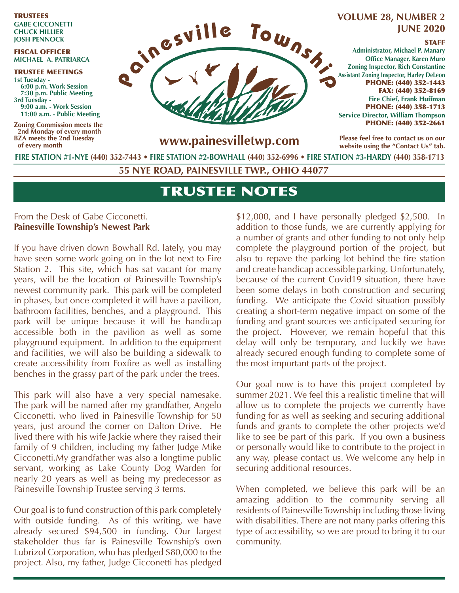TRUSTEES **GABE CICCONETTI CHUCK HILLIER JOSH PENNOCK**

#### FISCAL OFFICER **MICHAEL A. PATRIARCA**

TRUSTEE MEETINGS **1st Tuesday - 6:00 p.m. Work Session 7:30 p.m. Public Meeting 3rd Tuesday - 9:00 a.m. - Work Session 11:00 a.m. - Public Meeting**

**Zoning Commission meets the 2nd Monday of every month BZA meets the 2nd Tuesday of every month**



# **JUNE 2020**

#### STAFF

**Administrator, Michael P. Manary Office Manager, Karen Muro Zoning Inspector, Rich Constantine Assistant Zoning Inspector, Harley DeLeon** PHONE: (440) 352-1443 FAX: (440) 352-8169 **Fire Chief, Frank Huffman** PHONE: (440) 358-1713 **Service Director, William Thompson** PHONE: (440) 352-2661

**Please feel free to contact us on our website using the "Contact Us" tab.**

**FIRE STATION #1-NYE (440) 352-7443** • **FIRE STATION #2-BOWHALL (440) 352-6996 • FIRE STATION #3-HARDY (440) 358-1713**

**55 NYE ROAD, PAINESVILLE TWP., OHIO 44077**

## TRUSTEE NOTES

#### From the Desk of Gabe Cicconetti. **Painesville Township's Newest Park**

If you have driven down Bowhall Rd. lately, you may have seen some work going on in the lot next to Fire Station 2. This site, which has sat vacant for many years, will be the location of Painesville Township's newest community park. This park will be completed in phases, but once completed it will have a pavilion, bathroom facilities, benches, and a playground. This park will be unique because it will be handicap accessible both in the pavilion as well as some playground equipment. In addition to the equipment and facilities, we will also be building a sidewalk to create accessibility from Foxfire as well as installing benches in the grassy part of the park under the trees.

This park will also have a very special namesake. The park will be named after my grandfather, Angelo Cicconetti, who lived in Painesville Township for 50 years, just around the corner on Dalton Drive. He lived there with his wife Jackie where they raised their family of 9 children, including my father Judge Mike Cicconetti.My grandfather was also a longtime public servant, working as Lake County Dog Warden for nearly 20 years as well as being my predecessor as Painesville Township Trustee serving 3 terms.

Our goal is to fund construction of this park completely with outside funding. As of this writing, we have already secured \$94,500 in funding. Our largest stakeholder thus far is Painesville Township's own Lubrizol Corporation, who has pledged \$80,000 to the project. Also, my father, Judge Cicconetti has pledged

\$12,000, and I have personally pledged \$2,500. In addition to those funds, we are currently applying for a number of grants and other funding to not only help complete the playground portion of the project, but also to repave the parking lot behind the fire station and create handicap accessible parking. Unfortunately, because of the current Covid19 situation, there have been some delays in both construction and securing funding. We anticipate the Covid situation possibly creating a short-term negative impact on some of the funding and grant sources we anticipated securing for the project. However, we remain hopeful that this delay will only be temporary, and luckily we have already secured enough funding to complete some of the most important parts of the project.

Our goal now is to have this project completed by summer 2021. We feel this a realistic timeline that will allow us to complete the projects we currently have funding for as well as seeking and securing additional funds and grants to complete the other projects we'd like to see be part of this park. If you own a business or personally would like to contribute to the project in any way, please contact us. We welcome any help in securing additional resources.

When completed, we believe this park will be an amazing addition to the community serving all residents of Painesville Township including those living with disabilities. There are not many parks offering this type of accessibility, so we are proud to bring it to our community.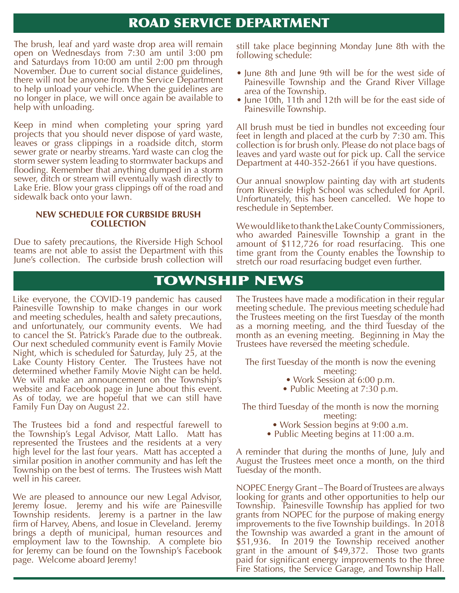#### ROAD SERVICE DEPARTMENT

The brush, leaf and yard waste drop area will remain open on Wednesdays from 7:30 am until 3:00 pm and Saturdays from 10:00 am until 2:00 pm through November. Due to current social distance guidelines, there will not be anyone from the Service Department to help unload your vehicle. When the guidelines are no longer in place, we will once again be available to help with unloading.

Keep in mind when completing your spring yard projects that you should never dispose of yard waste, leaves or grass clippings in a roadside ditch, storm sewer grate or nearby streams. Yard waste can clog the storm sewer system leading to stormwater backups and flooding. Remember that anything dumped in a storm sewer, ditch or stream will eventually wash directly to Lake Erie. Blow your grass clippings off of the road and sidewalk back onto your lawn.

#### **NEW SCHEDULE FOR CURBSIDE BRUSH COLLECTION**

Due to safety precautions, the Riverside High School teams are not able to assist the Department with this June's collection. The curbside brush collection will

still take place beginning Monday June 8th with the following schedule:

- June 8th and June 9th will be for the west side of Painesville Township and the Grand River Village area of the Township.
- June 10th, 11th and 12th will be for the east side of Painesville Township.

All brush must be tied in bundles not exceeding four feet in length and placed at the curb by 7:30 am. This collection is for brush only. Please do not place bags of leaves and yard waste out for pick up. Call the service Department at 440-352-2661 if you have questions.

Our annual snowplow painting day with art students from Riverside High School was scheduled for April. Unfortunately, this has been cancelled. We hope to reschedule in September.

We would like to thank the Lake County Commissioners, who awarded Painesville Township a grant in the amount of \$112,726 for road resurfacing. This one time grant from the County enables the Township to stretch our road resurfacing budget even further.

## TOWNSHIP NEWS

Like everyone, the COVID-19 pandemic has caused Painesville Township to make changes in our work and meeting schedules, health and safety precautions, and unfortunately, our community events. We had to cancel the St. Patrick's Parade due to the outbreak. Our next scheduled community event is Family Movie Night, which is scheduled for Saturday, July 25, at the Lake County History Center. The Trustees have not determined whether Family Movie Night can be held. We will make an announcement on the Township's website and Facebook page in June about this event. As of today, we are hopeful that we can still have Family Fun Day on August 22.

The Trustees bid a fond and respectful farewell to the Township's Legal Advisor, Matt Lallo. Matt has represented the Trustees and the residents at a very high level for the last four years. Matt has accepted a similar position in another community and has left the Township on the best of terms. The Trustees wish Matt well in his career.

We are pleased to announce our new Legal Advisor, Jeremy Iosue. Jeremy and his wife are Painesville Township residents. Jeremy is a partner in the law firm of Harvey, Abens, and Iosue in Cleveland. Jeremy brings a depth of municipal, human resources and employment law to the Township. A complete bio for Jeremy can be found on the Township's Facebook page. Welcome aboard Jeremy!

The Trustees have made a modification in their regular meeting schedule. The previous meeting schedule had the Trustees meeting on the first Tuesday of the month as a morning meeting, and the third Tuesday of the month as an evening meeting. Beginning in May the Trustees have reversed the meeting schedule.

The first Tuesday of the month is now the evening

- meeting:
- Work Session at 6:00 p.m. • Public Meeting at 7:30 p.m.

The third Tuesday of the month is now the morning

- meeting: • Work Session begins at 9:00 a.m.
- Public Meeting begins at 11:00 a.m.

A reminder that during the months of June, July and August the Trustees meet once a month, on the third Tuesday of the month.

NOPEC Energy Grant – The Board of Trustees are always looking for grants and other opportunities to help our Township. Painesville Township has applied for two grants from NOPEC for the purpose of making energy improvements to the five Township buildings. In 2018 the Township was awarded a grant in the amount of \$51,936. In 2019 the Township received another grant in the amount of \$49,372. Those two grants paid for significant energy improvements to the three Fire Stations, the Service Garage, and Township Hall.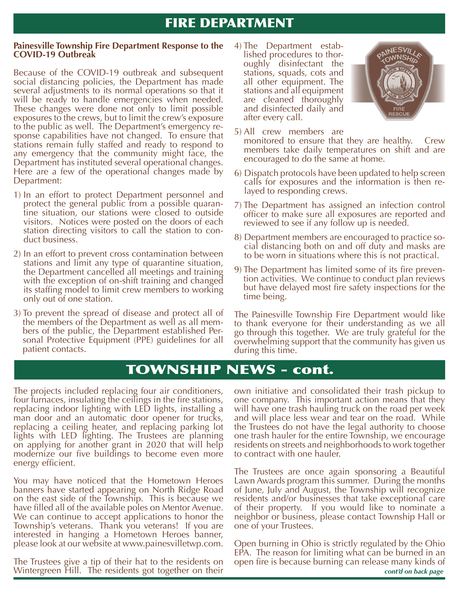## FIRE DEPARTMENT

#### **Painesville Township Fire Department Response to the COVID-19 Outbreak**

Because of the COVID-19 outbreak and subsequent social distancing policies, the Department has made several adjustments to its normal operations so that it will be ready to handle emergencies when needed. These changes were done not only to limit possible exposures to the crews, but to limit the crew's exposure to the public as well. The Department's emergency response capabilities have not changed. To ensure that stations remain fully staffed and ready to respond to any emergency that the community might face, the Department has instituted several operational changes. Here are a few of the operational changes made by Department:

- 1) In an effort to protect Department personnel and protect the general public from a possible quarantine situation, our stations were closed to outside visitors. Notices were posted on the doors of each station directing visitors to call the station to conduct business.
- 2) In an effort to prevent cross contamination between stations and limit any type of quarantine situation, the Department cancelled all meetings and training with the exception of on-shift training and changed its staffing model to limit crew members to working only out of one station.
- 3) To prevent the spread of disease and protect all of the members of the Department as well as all members of the public, the Department established Personal Protective Equipment (PPE) guidelines for all patient contacts.

4) The Department established procedures to thoroughly disinfectant the stations, squads, cots and all other equipment. The stations and all equipment are cleaned thoroughly and disinfected daily and after every call.



- 5) All crew members are
- monitored to ensure that they are healthy. Crew members take daily temperatures on shift and are encouraged to do the same at home.
- 6) Dispatch protocols have been updated to help screen calls for exposures and the information is then re- layed to responding crews.
- 7) The Department has assigned an infection control officer to make sure all exposures are reported and reviewed to see if any follow up is needed.
- 8) Department members are encouraged to practice social distancing both on and off duty and masks are to be worn in situations where this is not practical.
- 9) The Department has limited some of its fire prevention activities. We continue to conduct plan reviews but have delayed most fire safety inspections for the time being.

The Painesville Township Fire Department would like to thank everyone for their understanding as we all go through this together. We are truly grateful for the overwhelming support that the community has given us during this time.

## TOWNSHIP NEWS - cont.

The projects included replacing four air conditioners, four furnaces, insulating the ceilings in the fire stations, replacing indoor lighting with LED lights, installing a man door and an automatic door opener for trucks, replacing a ceiling heater, and replacing parking lot lights with LED lighting. The Trustees are planning on applying for another grant in 2020 that will help modernize our five buildings to become even more energy efficient.

You may have noticed that the Hometown Heroes banners have started appearing on North Ridge Road on the east side of the Township. This is because we have filled all of the available poles on Mentor Avenue. We can continue to accept applications to honor the Township's veterans. Thank you veterans! If you are interested in hanging a Hometown Heroes banner, please look at our website at www.painesvilletwp.com.

The Trustees give a tip of their hat to the residents on Wintergreen Hill. The residents got together on their

own initiative and consolidated their trash pickup to one company. This important action means that they will have one trash hauling truck on the road per week and will place less wear and tear on the road. While the Trustees do not have the legal authority to choose one trash hauler for the entire Township, we encourage residents on streets and neighborhoods to work together to contract with one hauler.

The Trustees are once again sponsoring a Beautiful Lawn Awards program this summer. During the months of June, July and August, the Township will recognize residents and/or businesses that take exceptional care of their property. If you would like to nominate a neighbor or business, please contact Township Hall or one of your Trustees.

*cont'd on back page* Open burning in Ohio is strictly regulated by the Ohio EPA. The reason for limiting what can be burned in an open fire is because burning can release many kinds of